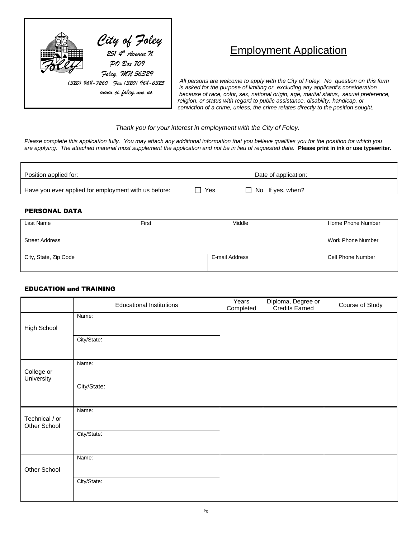

# Employment Application

 *All persons are welcome to apply with the City of Foley. No question on this form is asked for the purpose of limiting or excluding any applicant's consideration because of race, color, sex, national origin, age, marital status, sexual preference, religion, or status with regard to public assistance, disability, handicap, or conviction of a crime, unless, the crime relates directly to the position sought.* 

*Thank you for your interest in employment with the City of Foley.*

*Please complete this application fully. You may attach any additional information that you believe qualifies you for the position for which you are applying. The attached material must supplement the application and not be in lieu of requested data.* **Please print in ink or use typewriter.**

| Position applied for:                                |     | Date of application: |  |
|------------------------------------------------------|-----|----------------------|--|
| Have you ever applied for employment with us before: | Yes | No If yes, when?     |  |

#### PERSONAL DATA

| Last Name             | First | Middle         | Home Phone Number |
|-----------------------|-------|----------------|-------------------|
|                       |       |                |                   |
| <b>Street Address</b> |       |                | Work Phone Number |
|                       |       |                |                   |
| City, State, Zip Code |       | E-mail Address | Cell Phone Number |
|                       |       |                |                   |

#### EDUCATION and TRAINING

|                                | <b>Educational Institutions</b> | Years<br>Completed | Diploma, Degree or<br>Credits Earned | Course of Study |
|--------------------------------|---------------------------------|--------------------|--------------------------------------|-----------------|
| High School                    | Name:                           |                    |                                      |                 |
|                                | City/State:                     |                    |                                      |                 |
| College or<br>University       | Name:                           |                    |                                      |                 |
|                                | City/State:                     |                    |                                      |                 |
| Technical / or<br>Other School | Name:                           |                    |                                      |                 |
|                                | City/State:                     |                    |                                      |                 |
| Other School                   | Name:                           |                    |                                      |                 |
|                                | City/State:                     |                    |                                      |                 |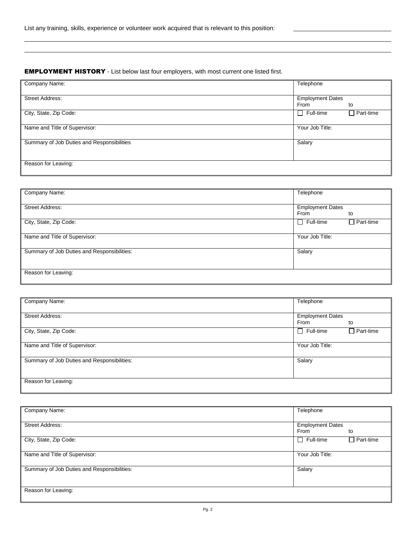#### EMPLOYMENT HISTORY - List below last four employers, with most current one listed first.

| Company Name:                              | Telephone               |                  |
|--------------------------------------------|-------------------------|------------------|
|                                            |                         |                  |
| Street Address:                            | <b>Employment Dates</b> |                  |
|                                            | From                    | to               |
| City, State, Zip Code:                     | $\Box$ Full-time        | $\Box$ Part-time |
|                                            |                         |                  |
| Name and Title of Supervisor:              | Your Job Title:         |                  |
|                                            |                         |                  |
| Summary of Job Duties and Responsibilities | Salary                  |                  |
|                                            |                         |                  |
|                                            |                         |                  |
| Reason for Leaving:                        |                         |                  |
|                                            |                         |                  |

| Company Name:                               | Telephone               |                  |
|---------------------------------------------|-------------------------|------------------|
|                                             |                         |                  |
| <b>Street Address:</b>                      | <b>Employment Dates</b> |                  |
|                                             | From                    | to               |
| City, State, Zip Code:                      | $\Box$ Full-time        | $\Box$ Part-time |
|                                             |                         |                  |
| Name and Title of Supervisor:               | Your Job Title:         |                  |
|                                             |                         |                  |
| Summary of Job Duties and Responsibilities: | Salary                  |                  |
|                                             |                         |                  |
|                                             |                         |                  |
| Reason for Leaving:                         |                         |                  |
|                                             |                         |                  |

| Company Name:                               | Telephone                             |
|---------------------------------------------|---------------------------------------|
| <b>Street Address:</b>                      | <b>Employment Dates</b><br>From<br>to |
| City, State, Zip Code:                      | $\Box$ Part-time<br>$\Box$ Full-time  |
| Name and Title of Supervisor:               | Your Job Title:                       |
| Summary of Job Duties and Responsibilities: | Salary                                |
| Reason for Leaving:                         |                                       |

| Company Name:                               | Telephone               |                  |
|---------------------------------------------|-------------------------|------------------|
|                                             |                         |                  |
| <b>Street Address:</b>                      | <b>Employment Dates</b> |                  |
|                                             | From                    | to               |
| City, State, Zip Code:                      | $\Box$ Full-time        | $\Box$ Part-time |
|                                             |                         |                  |
| Name and Title of Supervisor:               | Your Job Title:         |                  |
|                                             |                         |                  |
| Summary of Job Duties and Responsibilities: | Salary                  |                  |
|                                             |                         |                  |
|                                             |                         |                  |
| Reason for Leaving:                         |                         |                  |
|                                             |                         |                  |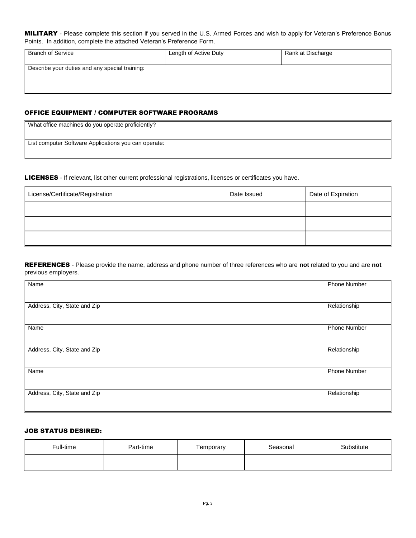#### MILITARY - Please complete this section if you served in the U.S. Armed Forces and wish to apply for Veteran's Preference Bonus Points. In addition, complete the attached Veteran's Preference Form.

| <b>Branch of Service</b>                       | Length of Active Duty | Rank at Discharge |
|------------------------------------------------|-----------------------|-------------------|
| Describe your duties and any special training: |                       |                   |

### OFFICE EQUIPMENT / COMPUTER SOFTWARE PROGRAMS

| What office machines do you operate proficiently?    |  |
|------------------------------------------------------|--|
| List computer Software Applications you can operate: |  |
|                                                      |  |

LICENSES - If relevant, list other current professional registrations, licenses or certificates you have.

| License/Certificate/Registration | Date Issued | Date of Expiration |
|----------------------------------|-------------|--------------------|
|                                  |             |                    |
|                                  |             |                    |
|                                  |             |                    |

REFERENCES - Please provide the name, address and phone number of three references who are **not** related to you and are **not**  previous employers.

| Name                         | Phone Number        |
|------------------------------|---------------------|
|                              |                     |
| Address, City, State and Zip | Relationship        |
| Name                         | <b>Phone Number</b> |
| Address, City, State and Zip | Relationship        |
| Name                         | <b>Phone Number</b> |
| Address, City, State and Zip | Relationship        |

#### JOB STATUS DESIRED:

| Full-time | Part-time | Temporary | Seasonal | Substitute |
|-----------|-----------|-----------|----------|------------|
|           |           |           |          |            |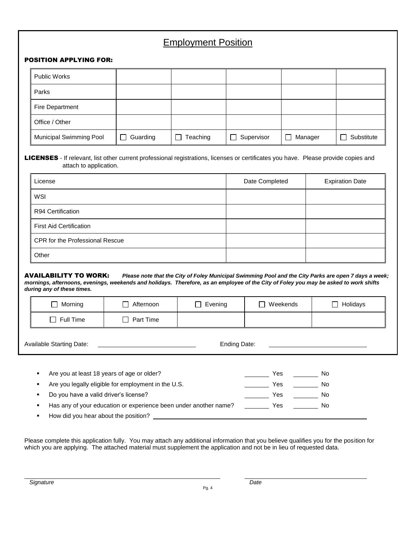### Employment Position

#### POSITION APPLYING FOR:

| <b>Public Works</b>            |          |                    |            |                         |            |
|--------------------------------|----------|--------------------|------------|-------------------------|------------|
| Parks                          |          |                    |            |                         |            |
| Fire Department                |          |                    |            |                         |            |
| Office / Other                 |          |                    |            |                         |            |
| <b>Municipal Swimming Pool</b> | Guarding | Teaching<br>$\Box$ | Supervisor | Manager<br>$\mathsf{L}$ | Substitute |

LICENSES - If relevant, list other current professional registrations, licenses or certificates you have. Please provide copies and attach to application.

| License                                | Date Completed | <b>Expiration Date</b> |
|----------------------------------------|----------------|------------------------|
| WSI                                    |                |                        |
| R94 Certification                      |                |                        |
| <b>First Aid Certification</b>         |                |                        |
| <b>CPR for the Professional Rescue</b> |                |                        |
| Other                                  |                |                        |

#### AVAILABILITY TO WORK: *Please note that the City of Foley Municipal Swimming Pool and the City Parks are open 7 days a week; mornings, afternoons, evenings, weekends and holidays. Therefore, as an employee of the City of Foley you may be asked to work shifts during any of these times.*

|                                                                           | Morning          | Afternoon | Evening | Weekends<br>$\perp$ | Holidays |
|---------------------------------------------------------------------------|------------------|-----------|---------|---------------------|----------|
|                                                                           | $\Box$ Full Time | Part Time |         |                     |          |
| <b>Available Starting Date:</b><br>Ending Date:                           |                  |           |         |                     |          |
| Are you at least 18 years of age or older?<br>Yes<br>No<br>$\blacksquare$ |                  |           |         |                     |          |

| $\mathbf{R} \in \mathbb{R}^n$ | Are you legally eligible for employment in the U.S.              | Yes | N0. |  |
|-------------------------------|------------------------------------------------------------------|-----|-----|--|
| $\mathbf{R}^{\text{max}}$     | Do you have a valid driver's license?                            | Yes | Nο  |  |
| $\mathbf{R}$ .                | Has any of your education or experience been under another name? | Yes | Nο  |  |
| $\mathbf{H}^{\text{max}}$     | How did you hear about the position?                             |     |     |  |
|                               |                                                                  |     |     |  |

Please complete this application fully. You may attach any additional information that you believe qualifies you for the position for which you are applying. The attached material must supplement the application and not be in lieu of requested data.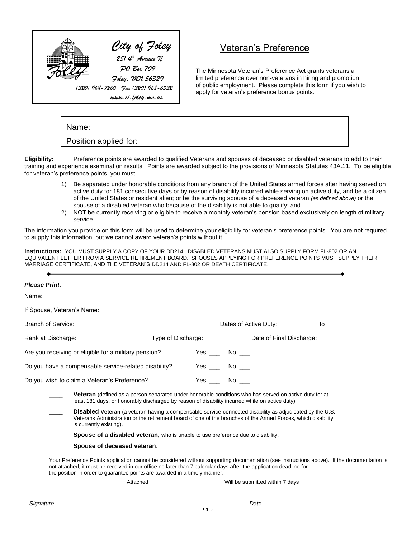

## Veteran's Preference

The Minnesota Veteran's Preference Act grants veterans a limited preference over non-veterans in hiring and promotion of public employment. Please complete this form if you wish to apply for veteran's preference bonus points.

| Name:                 |  |  |  |  |  |
|-----------------------|--|--|--|--|--|
| Position applied for: |  |  |  |  |  |

**Eligibility:** Preference points are awarded to qualified Veterans and spouses of deceased or disabled veterans to add to their training and experience examination results. Points are awarded subject to the provisions of Minnesota Statutes 43A.11. To be eligible for veteran's preference points, you must:

- 1) Be separated under honorable conditions from any branch of the United States armed forces after having served on active duty for 181 consecutive days or by reason of disability incurred while serving on active duty, and be a citizen of the United States or resident alien; or be the surviving spouse of a deceased veteran *(as defined above)* or the spouse of a disabled veteran who because of the disability is not able to qualify; and
- 2) NOT be currently receiving or eligible to receive a monthly veteran's pension based exclusively on length of military service.

The information you provide on this form will be used to determine your eligibility for veteran's preference points. You are not required to supply this information, but we cannot award veteran's points without it.

**Instructions:** YOU MUST SUPPLY A COPY OF YOUR DD214. DISABLED VETERANS MUST ALSO SUPPLY FORM FL-802 OR AN EQUIVALENT LETTER FROM A SERVICE RETIREMENT BOARD. SPOUSES APPLYING FOR PREFERENCE POINTS MUST SUPPLY THEIR MARRIAGE CERTIFICATE, AND THE VETERAN"S DD214 AND FL-802 OR DEATH CERTIFICATE.

| Are you receiving or eligible for a military pension?                                                                                                                                                                                                      |  |                                                                                                                                 |                                                                                                                                                                                                                                                                                                                                                                                                                                                                                                                                                                                                                                                                                                                                                                                                                                                                                                                                                                                                                                                                                                    |  |  |
|------------------------------------------------------------------------------------------------------------------------------------------------------------------------------------------------------------------------------------------------------------|--|---------------------------------------------------------------------------------------------------------------------------------|----------------------------------------------------------------------------------------------------------------------------------------------------------------------------------------------------------------------------------------------------------------------------------------------------------------------------------------------------------------------------------------------------------------------------------------------------------------------------------------------------------------------------------------------------------------------------------------------------------------------------------------------------------------------------------------------------------------------------------------------------------------------------------------------------------------------------------------------------------------------------------------------------------------------------------------------------------------------------------------------------------------------------------------------------------------------------------------------------|--|--|
| Do you have a compensable service-related disability?                                                                                                                                                                                                      |  |                                                                                                                                 |                                                                                                                                                                                                                                                                                                                                                                                                                                                                                                                                                                                                                                                                                                                                                                                                                                                                                                                                                                                                                                                                                                    |  |  |
|                                                                                                                                                                                                                                                            |  |                                                                                                                                 |                                                                                                                                                                                                                                                                                                                                                                                                                                                                                                                                                                                                                                                                                                                                                                                                                                                                                                                                                                                                                                                                                                    |  |  |
|                                                                                                                                                                                                                                                            |  |                                                                                                                                 |                                                                                                                                                                                                                                                                                                                                                                                                                                                                                                                                                                                                                                                                                                                                                                                                                                                                                                                                                                                                                                                                                                    |  |  |
| <b>Disabled Veteran</b> (a veteran having a compensable service-connected disability as adjudicated by the U.S.<br>Veterans Administration or the retirement board of one of the branches of the Armed Forces, which disability<br>is currently existing). |  |                                                                                                                                 |                                                                                                                                                                                                                                                                                                                                                                                                                                                                                                                                                                                                                                                                                                                                                                                                                                                                                                                                                                                                                                                                                                    |  |  |
|                                                                                                                                                                                                                                                            |  |                                                                                                                                 |                                                                                                                                                                                                                                                                                                                                                                                                                                                                                                                                                                                                                                                                                                                                                                                                                                                                                                                                                                                                                                                                                                    |  |  |
|                                                                                                                                                                                                                                                            |  |                                                                                                                                 |                                                                                                                                                                                                                                                                                                                                                                                                                                                                                                                                                                                                                                                                                                                                                                                                                                                                                                                                                                                                                                                                                                    |  |  |
|                                                                                                                                                                                                                                                            |  |                                                                                                                                 |                                                                                                                                                                                                                                                                                                                                                                                                                                                                                                                                                                                                                                                                                                                                                                                                                                                                                                                                                                                                                                                                                                    |  |  |
|                                                                                                                                                                                                                                                            |  |                                                                                                                                 |                                                                                                                                                                                                                                                                                                                                                                                                                                                                                                                                                                                                                                                                                                                                                                                                                                                                                                                                                                                                                                                                                                    |  |  |
|                                                                                                                                                                                                                                                            |  |                                                                                                                                 |                                                                                                                                                                                                                                                                                                                                                                                                                                                                                                                                                                                                                                                                                                                                                                                                                                                                                                                                                                                                                                                                                                    |  |  |
|                                                                                                                                                                                                                                                            |  | $Yes \t No \t —$<br>Yes $\_\_$ No $\_\_$<br>Yes No<br>the position in order to guarantee points are awarded in a timely manner. | If Spouse, Veteran's Name: We have a state of the state of the state of the state of the state of the state of the state of the state of the state of the state of the state of the state of the state of the state of the sta<br>Rank at Discharge: <u>Contract Community Controller Community Controller Controller Controller Controller Controller Controller Controller Controller Controller Controller Controller Controller Controller Controller Controll</u><br><b>Veteran</b> (defined as a person separated under honorable conditions who has served on active duty for at<br>least 181 days, or honorably discharged by reason of disability incurred while on active duty).<br><b>Spouse of a disabled veteran,</b> who is unable to use preference due to disability.<br>Your Preference Points application cannot be considered without supporting documentation (see instructions above). If the documentation is<br>not attached, it must be received in our office no later than 7 calendar days after the application deadline for<br>Will be submitted within 7 days<br>Date |  |  |